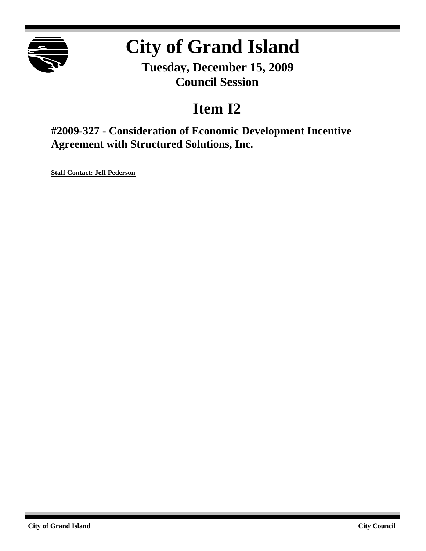

# **City of Grand Island**

**Tuesday, December 15, 2009 Council Session**

## **Item I2**

**#2009-327 - Consideration of Economic Development Incentive Agreement with Structured Solutions, Inc.**

**Staff Contact: Jeff Pederson**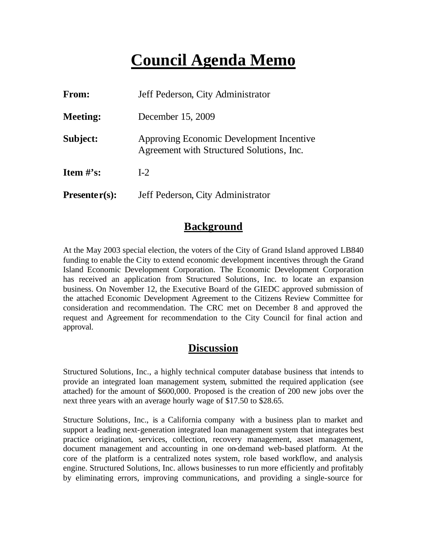## **Council Agenda Memo**

| From:           | Jeff Pederson, City Administrator                                                     |  |  |  |
|-----------------|---------------------------------------------------------------------------------------|--|--|--|
| <b>Meeting:</b> | December 15, 2009                                                                     |  |  |  |
| Subject:        | Approving Economic Development Incentive<br>Agreement with Structured Solutions, Inc. |  |  |  |
| Item $\#$ 's:   | $I-2$                                                                                 |  |  |  |
| $Presenter(s):$ | Jeff Pederson, City Administrator                                                     |  |  |  |

## **Background**

At the May 2003 special election, the voters of the City of Grand Island approved LB840 funding to enable the City to extend economic development incentives through the Grand Island Economic Development Corporation. The Economic Development Corporation has received an application from Structured Solutions, Inc. to locate an expansion business. On November 12, the Executive Board of the GIEDC approved submission of the attached Economic Development Agreement to the Citizens Review Committee for consideration and recommendation. The CRC met on December 8 and approved the request and Agreement for recommendation to the City Council for final action and approval.

## **Discussion**

Structured Solutions, Inc., a highly technical computer database business that intends to provide an integrated loan management system, submitted the required application (see attached) for the amount of \$600,000. Proposed is the creation of 200 new jobs over the next three years with an average hourly wage of \$17.50 to \$28.65.

Structure Solutions, Inc., is a California company with a business plan to market and support a leading next-generation integrated loan management system that integrates best practice origination, services, collection, recovery management, asset management, document management and accounting in one on-demand web-based platform. At the core of the platform is a centralized notes system, role based workflow, and analysis engine. Structured Solutions, Inc. allows businesses to run more efficiently and profitably by eliminating errors, improving communications, and providing a single-source for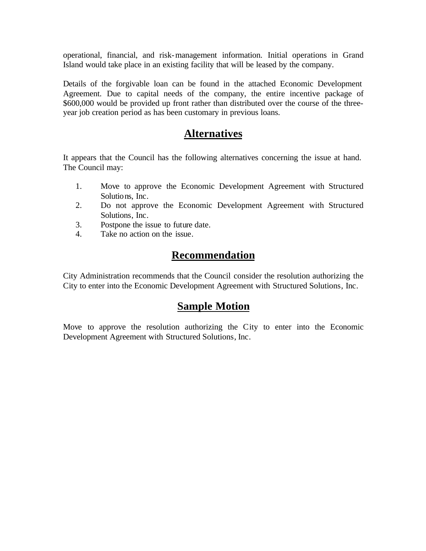operational, financial, and risk-management information. Initial operations in Grand Island would take place in an existing facility that will be leased by the company.

Details of the forgivable loan can be found in the attached Economic Development Agreement. Due to capital needs of the company, the entire incentive package of \$600,000 would be provided up front rather than distributed over the course of the threeyear job creation period as has been customary in previous loans.

### **Alternatives**

It appears that the Council has the following alternatives concerning the issue at hand. The Council may:

- 1. Move to approve the Economic Development Agreement with Structured Solutions, Inc.
- 2. Do not approve the Economic Development Agreement with Structured Solutions, Inc.
- 3. Postpone the issue to future date.
- 4. Take no action on the issue.

## **Recommendation**

City Administration recommends that the Council consider the resolution authorizing the City to enter into the Economic Development Agreement with Structured Solutions, Inc.

## **Sample Motion**

Move to approve the resolution authorizing the City to enter into the Economic Development Agreement with Structured Solutions, Inc.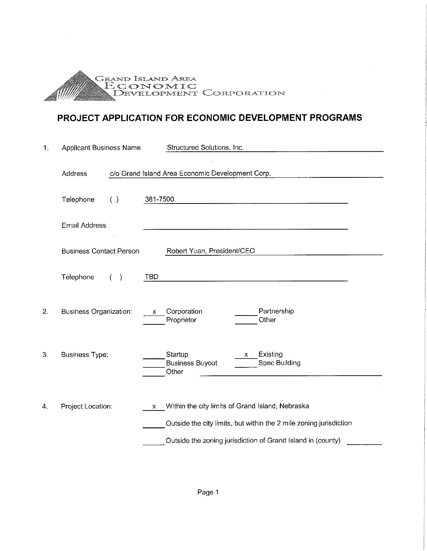

## PROJECT APPLICATION FOR ECONOMIC DEVELOPMENT PROGRAMS

| $\mathbf{1}$ . | <b>Applicant Business Name</b> | Structured Solutions, Inc.                                                                                                                                                                 |  |  |  |
|----------------|--------------------------------|--------------------------------------------------------------------------------------------------------------------------------------------------------------------------------------------|--|--|--|
|                | Address                        | c/o Grand Island Area Economic Development Corp.                                                                                                                                           |  |  |  |
|                | Telephone<br>( )               | 381-7500                                                                                                                                                                                   |  |  |  |
|                | <b>Email Address</b>           |                                                                                                                                                                                            |  |  |  |
|                | <b>Business Contact Person</b> | Robert Yuan, President/CEO                                                                                                                                                                 |  |  |  |
|                | Telephone<br>(                 | TBD                                                                                                                                                                                        |  |  |  |
| 2.             | <b>Business Organization:</b>  | Partnership<br>Corporation<br>X<br>Other<br>Proprietor                                                                                                                                     |  |  |  |
| 3.             | <b>Business Type:</b>          | Existing<br>Startup<br>X.<br>Spec Building<br><b>Business Buyout</b><br>Other                                                                                                              |  |  |  |
| 4.             | Project Location:              | Within the city limits of Grand Island, Nebraska<br>X<br>Outside the city limits, but within the 2 mile zoning jurisdiction<br>Outside the zoning jurisdiction of Grand Island in (county) |  |  |  |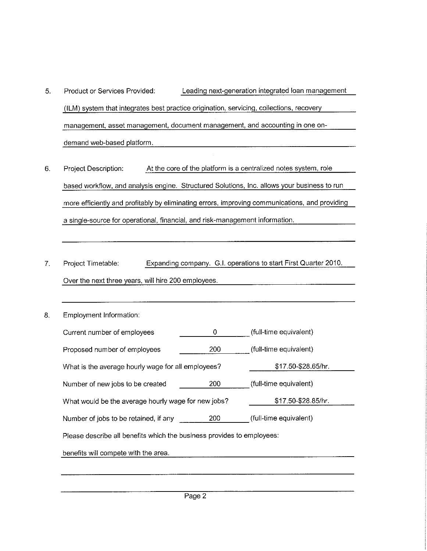- 5. Product or Services Provided: Leading next-generation integrated loan management (ILM) system that integrates best practice origination, servicing, collections, recovery management, asset management, document management, and accounting in one ondemand web-based platform.
- At the core of the platform is a centralized notes system, role 6. Project Description: based workflow, and analysis engine. Structured Solutions, Inc. allows your business to run more efficiently and profitably by eliminating errors, improving communications, and providing a single-source for operational, financial, and risk-management information.
- $7.$ Project Timetable: Expanding company. G.I. operations to start First Quarter 2010. Over the next three years, will hire 200 employees.
- 8. Employment Information:

| Current number of employees                                            | 0                   | (full-time equivalent) |  |  |  |  |  |  |  |
|------------------------------------------------------------------------|---------------------|------------------------|--|--|--|--|--|--|--|
| Proposed number of employees                                           | 200                 | (full-time equivalent) |  |  |  |  |  |  |  |
| What is the average hourly wage for all employees?                     | \$17.50-\$28.65/hr. |                        |  |  |  |  |  |  |  |
| Number of new jobs to be created                                       | 200                 | (full-time equivalent) |  |  |  |  |  |  |  |
| What would be the average hourly wage for new jobs?                    | \$17.50-\$28.85/hr. |                        |  |  |  |  |  |  |  |
| Number of jobs to be retained, if any                                  | 200                 | (full-time equivalent) |  |  |  |  |  |  |  |
| Please describe all benefits which the business provides to employees: |                     |                        |  |  |  |  |  |  |  |
| benefits will compete with the area.                                   |                     |                        |  |  |  |  |  |  |  |
|                                                                        |                     |                        |  |  |  |  |  |  |  |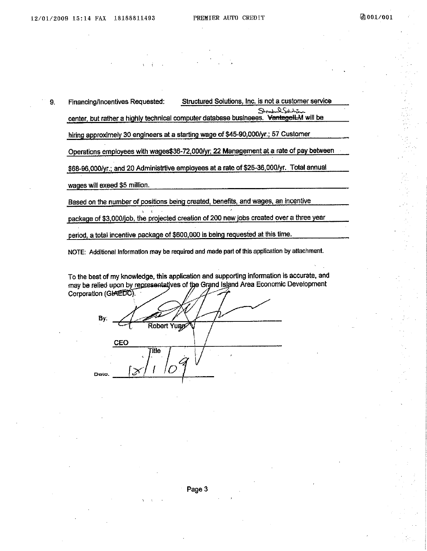9. Financing/Incentives Requested: Structured Solutions, Inc. is not a customer service يتهلسك يلك  $\mathcal{L}$ center, but rather a highly technical computer database busineees. VantagelLM will be hiring approximely 30 engineers at a starting wage of \$45-90,000/yr.; 57 Customer Operations employees with wages\$36-72,000/yr, 22 Management at a rate of pay between \$68-96,000/yr.; and 20 Administrtive employees at a rate of \$25-36,000/yr. Total annual wages will exeed \$5 million.

Based on the number of positions being created, benefits, and wages, an incentive

package of \$3,000/job, the projected creation of 200 new jobs created over a three year

period, a total incentive package of \$600,000 is being requested at this time.

NOTE: Additional Information may be required and made part of this application by attachment.

To the best of my knowledge, this application and supporting information is accurate, and may be relied upon by representatives of the Grand Island Area Economic Development Corporation (GIAEDO).

By. Robert Yuan CEO **Fitle** Doto.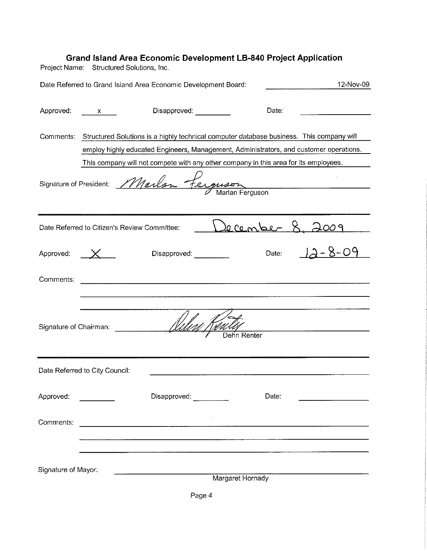|                        | <b>Grand Island Area Economic Development LB-840 Project Application</b><br>Project Name: Structured Solutions, Inc.                                                                         |                                                                                                                       |                  |       |                     |
|------------------------|----------------------------------------------------------------------------------------------------------------------------------------------------------------------------------------------|-----------------------------------------------------------------------------------------------------------------------|------------------|-------|---------------------|
|                        | Date Referred to Grand Island Area Economic Development Board:                                                                                                                               |                                                                                                                       |                  |       | 12-Nov-09           |
| Approved: x            |                                                                                                                                                                                              | Disapproved: _________                                                                                                |                  | Date: |                     |
|                        | Comments: Structured Solutions is a highly technical computer database business. This company will<br>employ highly educated Engineers, Management, Administrators, and customer operations. |                                                                                                                       |                  |       |                     |
|                        | This company will not compete with any other company in this area for its employees.<br>Signature of President: Marlan Ferguson                                                              |                                                                                                                       |                  |       |                     |
|                        | Date Referred to Citizen's Review Committee:                                                                                                                                                 |                                                                                                                       | $0$ center       |       |                     |
| Approved:              |                                                                                                                                                                                              | Disapproved:                                                                                                          |                  |       | Date: $12 - 8 - 09$ |
| Comments:              |                                                                                                                                                                                              | <u> 1989 - Jan Sterling and Sterling and Sterling and Sterling and Sterling and Sterling and Sterling and Sterlin</u> |                  |       |                     |
| Signature of Chairman: |                                                                                                                                                                                              |                                                                                                                       | Dehn Renter      |       |                     |
|                        | Date Referred to City Council:                                                                                                                                                               |                                                                                                                       |                  |       |                     |
| Approved:              |                                                                                                                                                                                              | Disapproved:                                                                                                          |                  | Date: |                     |
| Comments:              |                                                                                                                                                                                              |                                                                                                                       |                  |       |                     |
| Signature of Mayor:    |                                                                                                                                                                                              |                                                                                                                       | Margaret Hornady |       |                     |
|                        |                                                                                                                                                                                              | Page 4                                                                                                                |                  |       |                     |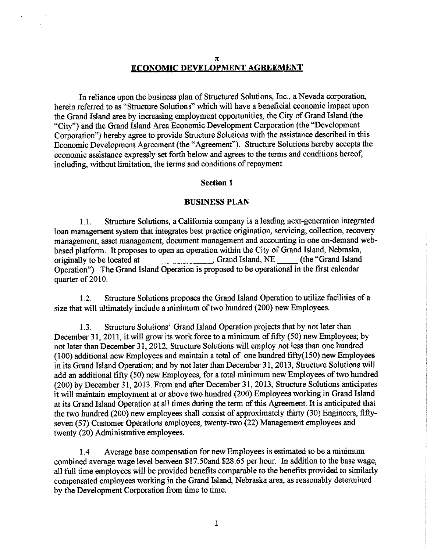#### $\pi$

 $\bar{\lambda}$ 

#### **ECONOMIC DEVELOPMENT AGREEMENT**

In reliance upon the business plan of Structured Solutions, Inc., a Nevada corporation, herein referred to as "Structure Solutions" which will have a beneficial economic impact upon the Grand Island area by increasing employment opportunities, the City of Grand Island (the "City") and the Grand Island Area Economic Development Corporation (the "Development Corporation") hereby agree to provide Structure Solutions with the assistance described in this Economic Development Agreement (the "Agreement"). Structure Solutions hereby accepts the economic assistance expressly set forth below and agrees to the terms and conditions hereof, including, without limitation, the terms and conditions of repayment.

#### **Section 1**

#### **BUSINESS PLAN**

Structure Solutions, a California company is a leading next-generation integrated  $1.1.$ loan management system that integrates best practice origination, servicing, collection, recovery management, asset management, document management and accounting in one on-demand webbased platform. It proposes to open an operation within the City of Grand Island, Nebraska, Grand Island, NE (the "Grand Island originally to be located at Operation"). The Grand Island Operation is proposed to be operational in the first calendar quarter of 2010.

 $1.2.$ Structure Solutions proposes the Grand Island Operation to utilize facilities of a size that will ultimately include a minimum of two hundred (200) new Employees.

 $1.3.$ Structure Solutions' Grand Island Operation projects that by not later than December 31, 2011, it will grow its work force to a minimum of fifty (50) new Employees; by not later than December 31, 2012, Structure Solutions will employ not less than one hundred  $(100)$  additional new Employees and maintain a total of one hundred fifty $(150)$  new Employees in its Grand Island Operation; and by not later than December 31, 2013, Structure Solutions will add an additional fifty (50) new Employees, for a total minimum new Employees of two hundred (200) by December 31, 2013. From and after December 31, 2013, Structure Solutions anticipates it will maintain employment at or above two hundred (200) Employees working in Grand Island at its Grand Island Operation at all times during the term of this Agreement. It is anticipated that the two hundred (200) new employees shall consist of approximately thirty (30) Engineers, fiftyseven (57) Customer Operations employees, twenty-two (22) Management employees and twenty (20) Administrative employees.

Average base compensation for new Employees is estimated to be a minimum  $1.4$ combined average wage level between \$17.50and \$28.65 per hour. In addition to the base wage, all full time employees will be provided benefits comparable to the benefits provided to similarly compensated employees working in the Grand Island, Nebraska area, as reasonably determined by the Development Corporation from time to time.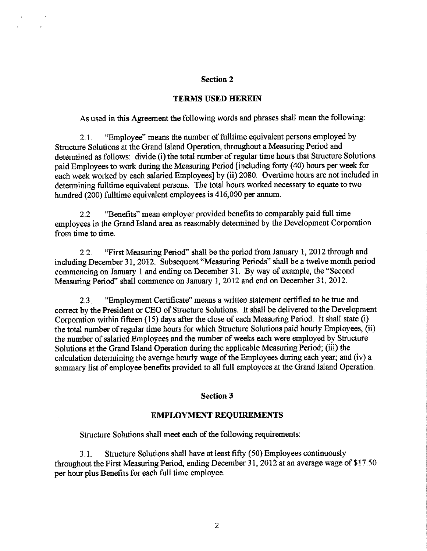#### **Section 2**

 $\bar{\chi}$ 

#### **TERMS USED HEREIN**

As used in this Agreement the following words and phrases shall mean the following:

"Employee" means the number of fulltime equivalent persons employed by  $2.1.$ Structure Solutions at the Grand Island Operation, throughout a Measuring Period and determined as follows: divide (i) the total number of regular time hours that Structure Solutions paid Employees to work during the Measuring Period [including forty (40) hours per week for each week worked by each salaried Employees] by (ii) 2080. Overtime hours are not included in determining fulltime equivalent persons. The total hours worked necessary to equate to two hundred (200) fulltime equivalent employees is 416,000 per annum.

"Benefits" mean employer provided benefits to comparably paid full time  $2.2$ employees in the Grand Island area as reasonably determined by the Development Corporation from time to time.

"First Measuring Period" shall be the period from January 1, 2012 through and  $22$ including December 31, 2012. Subsequent "Measuring Periods" shall be a twelve month period commencing on January 1 and ending on December 31. By way of example, the "Second Measuring Period" shall commence on January 1, 2012 and end on December 31, 2012.

"Employment Certificate" means a written statement certified to be true and  $2.3.$ correct by the President or CEO of Structure Solutions. It shall be delivered to the Development Corporation within fifteen (15) days after the close of each Measuring Period. It shall state (i) the total number of regular time hours for which Structure Solutions paid hourly Employees, (ii) the number of salaried Employees and the number of weeks each were employed by Structure Solutions at the Grand Island Operation during the applicable Measuring Period; (iii) the calculation determining the average hourly wage of the Employees during each year; and (iv) a summary list of employee benefits provided to all full employees at the Grand Island Operation.

#### **Section 3**

#### **EMPLOYMENT REQUIREMENTS**

Structure Solutions shall meet each of the following requirements:

Structure Solutions shall have at least fifty (50) Employees continuously  $3.1$ throughout the First Measuring Period, ending December 31, 2012 at an average wage of \$17.50 per hour plus Benefits for each full time employee.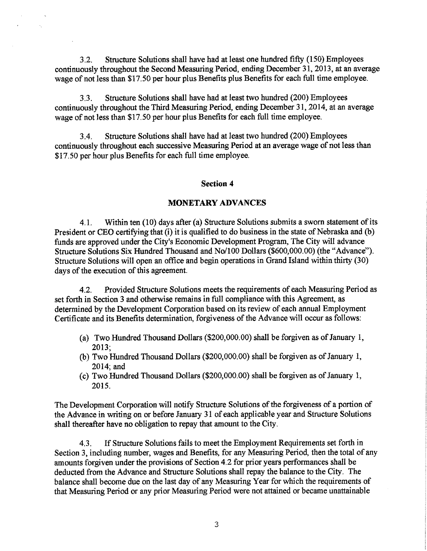Structure Solutions shall have had at least one hundred fifty (150) Employees  $32<sub>2</sub>$ continuously throughout the Second Measuring Period, ending December 31, 2013, at an average wage of not less than \$17.50 per hour plus Benefits plus Benefits for each full time employee.

 $3.3.$ Structure Solutions shall have had at least two hundred (200) Employees continuously throughout the Third Measuring Period, ending December 31, 2014, at an average wage of not less than \$17.50 per hour plus Benefits for each full time employee.

 $3.4.$ Structure Solutions shall have had at least two hundred (200) Employees continuously throughout each successive Measuring Period at an average wage of not less than \$17.50 per hour plus Benefits for each full time employee.

#### **Section 4**

#### **MONETARY ADVANCES**

Within ten (10) days after (a) Structure Solutions submits a sworn statement of its 41 President or CEO certifying that (i) it is qualified to do business in the state of Nebraska and (b) funds are approved under the City's Economic Development Program, The City will advance Structure Solutions Six Hundred Thousand and No/100 Dollars (\$600,000.00) (the "Advance"). Structure Solutions will open an office and begin operations in Grand Island within thirty (30) days of the execution of this agreement.

Provided Structure Solutions meets the requirements of each Measuring Period as  $4.2.$ set forth in Section 3 and otherwise remains in full compliance with this Agreement, as determined by the Development Corporation based on its review of each annual Employment Certificate and its Benefits determination, forgiveness of the Advance will occur as follows:

- (a) Two Hundred Thousand Dollars (\$200,000.00) shall be forgiven as of January 1,  $2013:$
- (b) Two Hundred Thousand Dollars (\$200,000.00) shall be forgiven as of January 1,  $2014$ : and
- (c) Two Hundred Thousand Dollars (\$200,000.00) shall be forgiven as of January 1. 2015.

The Development Corporation will notify Structure Solutions of the forgiveness of a portion of the Advance in writing on or before January 31 of each applicable year and Structure Solutions shall thereafter have no obligation to repay that amount to the City.

If Structure Solutions fails to meet the Employment Requirements set forth in 43 Section 3, including number, wages and Benefits, for any Measuring Period, then the total of any amounts forgiven under the provisions of Section 4.2 for prior years performances shall be deducted from the Advance and Structure Solutions shall repay the balance to the City. The balance shall become due on the last day of any Measuring Year for which the requirements of that Measuring Period or any prior Measuring Period were not attained or became unattainable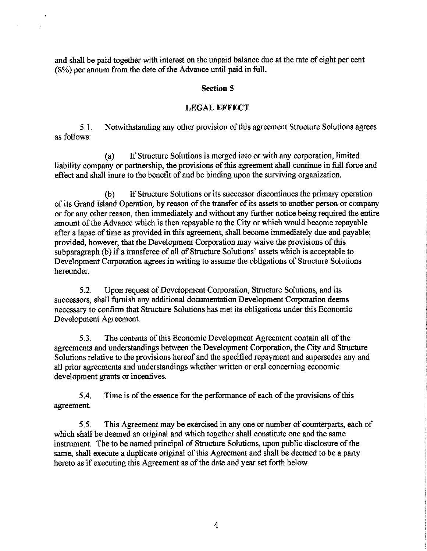and shall be paid together with interest on the unpaid balance due at the rate of eight per cent (8%) per annum from the date of the Advance until paid in full.

l.

#### **Section 5**

#### **LEGAL EFFECT**

Notwithstanding any other provision of this agreement Structure Solutions agrees  $5.1$ as follows:

If Structure Solutions is merged into or with any corporation, limited  $(a)$ liability company or partnership, the provisions of this agreement shall continue in full force and effect and shall inure to the benefit of and be binding upon the surviving organization.

If Structure Solutions or its successor discontinues the primary operation  $(b)$ of its Grand Island Operation, by reason of the transfer of its assets to another person or company or for any other reason, then immediately and without any further notice being required the entire amount of the Advance which is then repayable to the City or which would become repayable after a lapse of time as provided in this agreement, shall become immediately due and payable; provided, however, that the Development Corporation may waive the provisions of this subparagraph (b) if a transferee of all of Structure Solutions' assets which is acceptable to Development Corporation agrees in writing to assume the obligations of Structure Solutions hereunder.

Upon request of Development Corporation, Structure Solutions, and its  $5.2.$ successors, shall furnish any additional documentation Development Corporation deems necessary to confirm that Structure Solutions has met its obligations under this Economic Development Agreement.

 $5.3.$ The contents of this Economic Development Agreement contain all of the agreements and understandings between the Development Corporation, the City and Structure Solutions relative to the provisions hereof and the specified repayment and supersedes any and all prior agreements and understandings whether written or oral concerning economic development grants or incentives.

Time is of the essence for the performance of each of the provisions of this  $5.4.$ agreement.

This Agreement may be exercised in any one or number of counterparts, each of  $5.5.$ which shall be deemed an original and which together shall constitute one and the same instrument. The to be named principal of Structure Solutions, upon public disclosure of the same, shall execute a duplicate original of this Agreement and shall be deemed to be a party hereto as if executing this Agreement as of the date and year set forth below.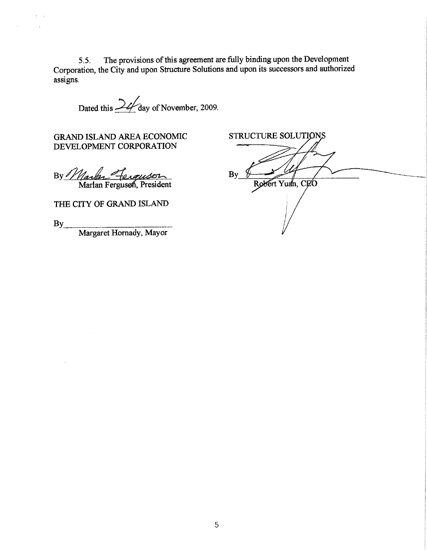The provisions of this agreement are fully binding upon the Development  $5.5.$ Corporation, the City and upon Structure Solutions and upon its successors and authorized assigns.

Dated this 24 day of November, 2009.

GRAND ISLAND AREA ECONOMIC DEVELOPMENT CORPORATION

By *Marley Terguson* 

THE CITY OF GRAND ISLAND

 $By$ <sub>\_\_\_</sub>

 $\boldsymbol{z}$ 

 $\mathcal{L}_{\mathcal{A}}$ 

Margaret Hornady, Mayor

STRUCTURE SOLUTIONS By Robert Yuan, CEO